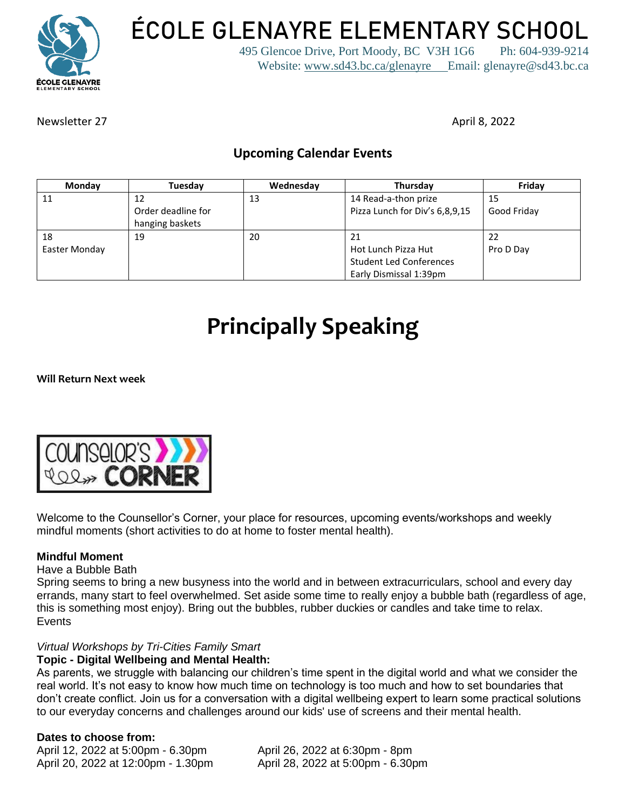

**ÉCOLE GLENAYRE ELEMENTARY SCHOOL**

495 Glencoe Drive, Port Moody, BC V3H 1G6 Ph: 604-939-9214 Website: [www.sd43.bc.ca/glenayre](http://www.sd43.bc.ca/glenayre) Email: glenayre@sd43.bc.ca

Newsletter 27 April 8, 2022

### **Upcoming Calendar Events**

| Monday        | Tuesday            | Wednesday | Thursday                       | Friday      |
|---------------|--------------------|-----------|--------------------------------|-------------|
| 11            | 12                 | 13        | 14 Read-a-thon prize           | -15         |
|               | Order deadline for |           | Pizza Lunch for Div's 6,8,9,15 | Good Friday |
|               | hanging baskets    |           |                                |             |
| 18            | 19                 | 20        | 21                             | 22          |
| Easter Monday |                    |           | Hot Lunch Pizza Hut            | Pro D Day   |
|               |                    |           | <b>Student Led Conferences</b> |             |
|               |                    |           | Early Dismissal 1:39pm         |             |

# **Principally Speaking**

**Will Return Next week**



Welcome to the Counsellor's Corner, your place for resources, upcoming events/workshops and weekly mindful moments (short activities to do at home to foster mental health).

### **Mindful Moment**

### Have a Bubble Bath

Spring seems to bring a new busyness into the world and in between extracurriculars, school and every day errands, many start to feel overwhelmed. Set aside some time to really enjoy a bubble bath (regardless of age, this is something most enjoy). Bring out the bubbles, rubber duckies or candles and take time to relax. **Events** 

### *Virtual Workshops by Tri-Cities Family Smart*

### **Topic - Digital Wellbeing and Mental Health:**

As parents, we struggle with balancing our children's time spent in the digital world and what we consider the real world. It's not easy to know how much time on technology is too much and how to set boundaries that don't create conflict. Join us for a conversation with a digital wellbeing expert to learn some practical solutions to our everyday concerns and challenges around our kids' use of screens and their mental health.

### **Dates to choose from:**

April 12, 2022 at 5:00pm - 6.30pm April 26, 2022 at 6:30pm - 8pm April 20, 2022 at 12:00pm - 1.30pm April 28, 2022 at 5:00pm - 6.30pm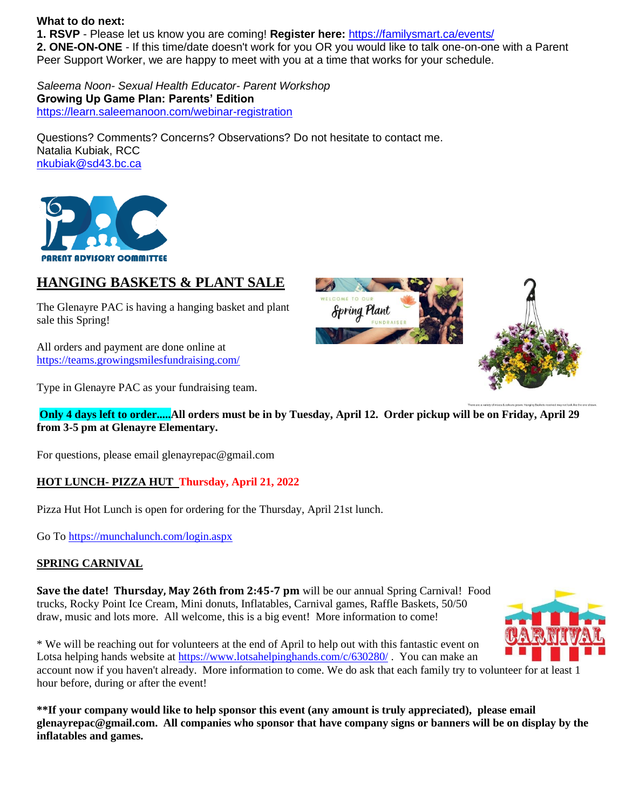#### **What to do next:**

**1. RSVP** - Please let us know you are coming! **Register here:** <https://familysmart.ca/events/> **2. ONE-ON-ONE** - If this time/date doesn't work for you OR you would like to talk one-on-one with a Parent Peer Support Worker, we are happy to meet with you at a time that works for your schedule.

*Saleema Noon- Sexual Health Educator- Parent Workshop* **Growing Up Game Plan: Parents' Edition** <https://learn.saleemanoon.com/webinar-registration>

Questions? Comments? Concerns? Observations? Do not hesitate to contact me. Natalia Kubiak, RCC [nkubiak@sd43.bc.ca](mailto:nkubiak@sd43.bc.ca)



### **HANGING BASKETS & PLANT SALE**

The Glenayre PAC is having a hanging basket and plant sale this Spring!

All orders and payment are done online at <https://teams.growingsmilesfundraising.com/>

Type in Glenayre PAC as your fundraising team.

**Only 4 days left to order.....All orders must be in by Tuesday, April 12. Order pickup will be on Friday, April 29 from 3-5 pm at Glenayre Elementary.** 

For questions, please email glenayrepac@gmail.com

### **HOT LUNCH- PIZZA HUT Thursday, April 21, 2022**

Pizza Hut Hot Lunch is open for ordering for the Thursday, April 21st lunch.

Go To<https://munchalunch.com/login.aspx>

### **SPRING CARNIVAL**

**Save the date! Thursday, May 26th from 2:45-7 pm** will be our annual Spring Carnival! Food trucks, Rocky Point Ice Cream, Mini donuts, Inflatables, Carnival games, Raffle Baskets, 50/50 draw, music and lots more. All welcome, this is a big event! More information to come!



**\*\*If your company would like to help sponsor this event (any amount is truly appreciated), please email glenayrepac@gmail.com. All companies who sponsor that have company signs or banners will be on display by the inflatables and games.**